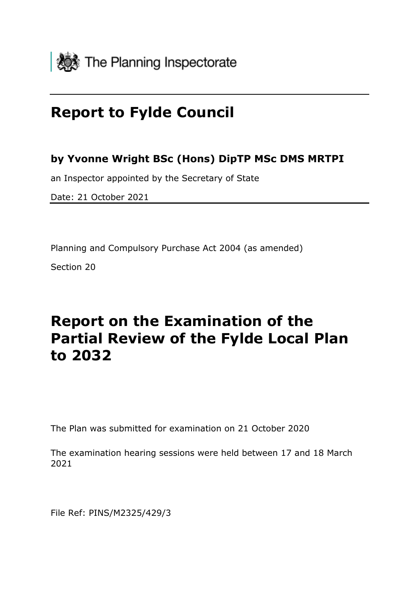

# **Report to Fylde Council**

### **by Yvonne Wright BSc (Hons) DipTP MSc DMS MRTPI**

an Inspector appointed by the Secretary of State

Date: 21 October 2021

Planning and Compulsory Purchase Act 2004 (as amended)

Section 20

# **Report on the Examination of the Partial Review of the Fylde Local Plan to 2032**

The Plan was submitted for examination on 21 October 2020

The examination hearing sessions were held between 17 and 18 March 2021

File Ref: PINS/M2325/429/3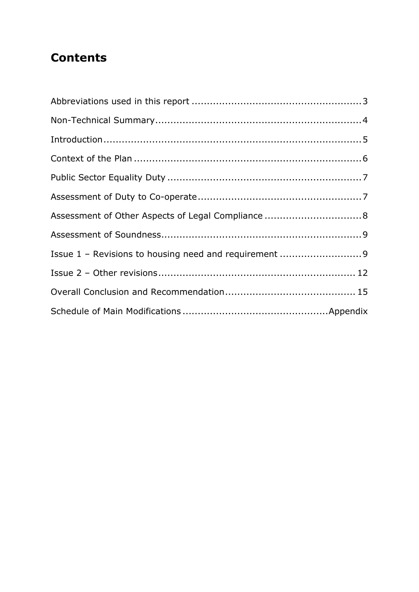# **Contents**

| Assessment of Other Aspects of Legal Compliance  8    |  |
|-------------------------------------------------------|--|
|                                                       |  |
| Issue 1 - Revisions to housing need and requirement 9 |  |
|                                                       |  |
|                                                       |  |
|                                                       |  |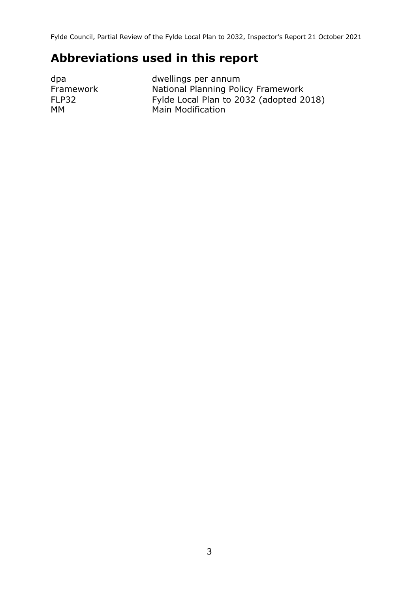# **Abbreviations used in this report**

dpa dwellings per annum Framework National Planning Policy Framework FLP32 Fylde Local Plan to 2032 (adopted 2018) MM Main Modification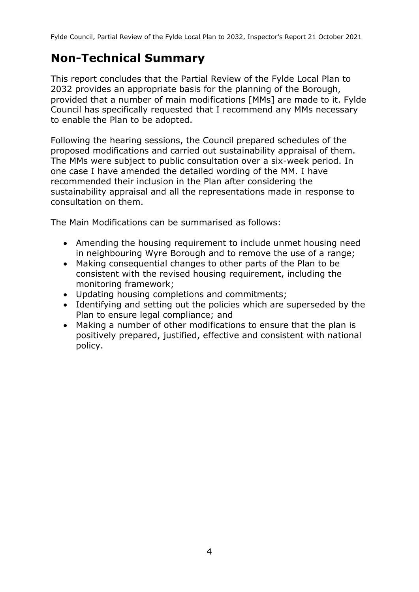# **Non-Technical Summary**

This report concludes that the Partial Review of the Fylde Local Plan to 2032 provides an appropriate basis for the planning of the Borough, provided that a number of main modifications [MMs] are made to it. Fylde Council has specifically requested that I recommend any MMs necessary to enable the Plan to be adopted.

Following the hearing sessions, the Council prepared schedules of the proposed modifications and carried out sustainability appraisal of them. The MMs were subject to public consultation over a six-week period. In one case I have amended the detailed wording of the MM. I have recommended their inclusion in the Plan after considering the sustainability appraisal and all the representations made in response to consultation on them.

The Main Modifications can be summarised as follows:

- Amending the housing requirement to include unmet housing need in neighbouring Wyre Borough and to remove the use of a range;
- Making consequential changes to other parts of the Plan to be consistent with the revised housing requirement, including the monitoring framework;
- Updating housing completions and commitments;
- Identifying and setting out the policies which are superseded by the Plan to ensure legal compliance; and
- Making a number of other modifications to ensure that the plan is positively prepared, justified, effective and consistent with national policy.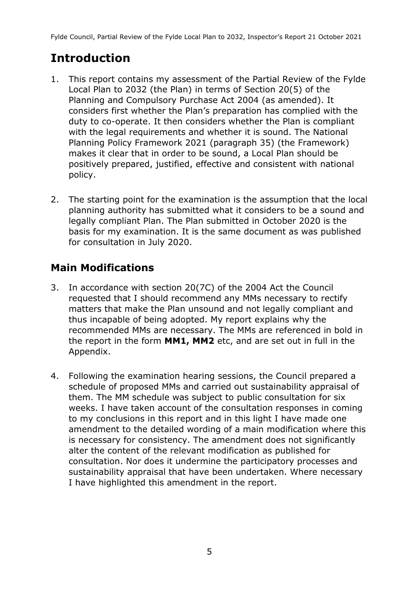# **Introduction**

- 1. This report contains my assessment of the Partial Review of the Fylde Local Plan to 2032 (the Plan) in terms of Section 20(5) of the Planning and Compulsory Purchase Act 2004 (as amended). It considers first whether the Plan's preparation has complied with the duty to co-operate. It then considers whether the Plan is compliant with the legal requirements and whether it is sound. The National Planning Policy Framework 2021 (paragraph 35) (the Framework) makes it clear that in order to be sound, a Local Plan should be positively prepared, justified, effective and consistent with national policy.
- 2. The starting point for the examination is the assumption that the local planning authority has submitted what it considers to be a sound and legally compliant Plan. The Plan submitted in October 2020 is the basis for my examination. It is the same document as was published for consultation in July 2020.

### **Main Modifications**

- 3. In accordance with section 20(7C) of the 2004 Act the Council requested that I should recommend any MMs necessary to rectify matters that make the Plan unsound and not legally compliant and thus incapable of being adopted. My report explains why the recommended MMs are necessary. The MMs are referenced in bold in the report in the form **MM1, MM2** etc, and are set out in full in the Appendix.
- 4. Following the examination hearing sessions, the Council prepared a schedule of proposed MMs and carried out sustainability appraisal of them. The MM schedule was subject to public consultation for six weeks. I have taken account of the consultation responses in coming to my conclusions in this report and in this light I have made one amendment to the detailed wording of a main modification where this is necessary for consistency. The amendment does not significantly alter the content of the relevant modification as published for consultation. Nor does it undermine the participatory processes and sustainability appraisal that have been undertaken. Where necessary I have highlighted this amendment in the report.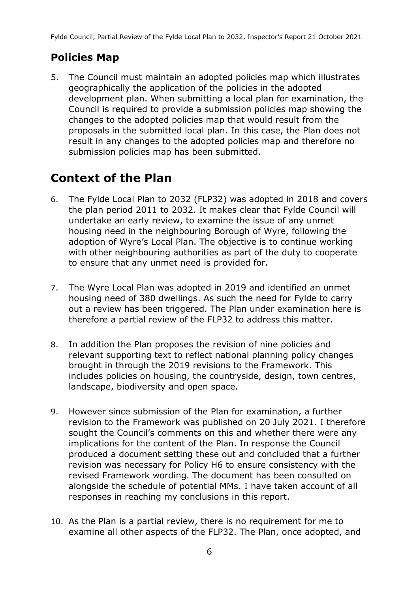### **Policies Map**

5. The Council must maintain an adopted policies map which illustrates geographically the application of the policies in the adopted development plan. When submitting a local plan for examination, the Council is required to provide a submission policies map showing the changes to the adopted policies map that would result from the proposals in the submitted local plan. In this case, the Plan does not result in any changes to the adopted policies map and therefore no submission policies map has been submitted.

# **Context of the Plan**

- 6. The Fylde Local Plan to 2032 (FLP32) was adopted in 2018 and covers the plan period 2011 to 2032. It makes clear that Fylde Council will undertake an early review, to examine the issue of any unmet housing need in the neighbouring Borough of Wyre, following the adoption of Wyre's Local Plan. The objective is to continue working with other neighbouring authorities as part of the duty to cooperate to ensure that any unmet need is provided for.
- 7. The Wyre Local Plan was adopted in 2019 and identified an unmet housing need of 380 dwellings. As such the need for Fylde to carry out a review has been triggered. The Plan under examination here is therefore a partial review of the FLP32 to address this matter.
- 8. In addition the Plan proposes the revision of nine policies and relevant supporting text to reflect national planning policy changes brought in through the 2019 revisions to the Framework. This includes policies on housing, the countryside, design, town centres, landscape, biodiversity and open space.
- 9. However since submission of the Plan for examination, a further revision to the Framework was published on 20 July 2021. I therefore sought the Council's comments on this and whether there were any implications for the content of the Plan. In response the Council produced a document setting these out and concluded that a further revision was necessary for Policy H6 to ensure consistency with the revised Framework wording. The document has been consulted on alongside the schedule of potential MMs. I have taken account of all responses in reaching my conclusions in this report.
- 10. As the Plan is a partial review, there is no requirement for me to examine all other aspects of the FLP32. The Plan, once adopted, and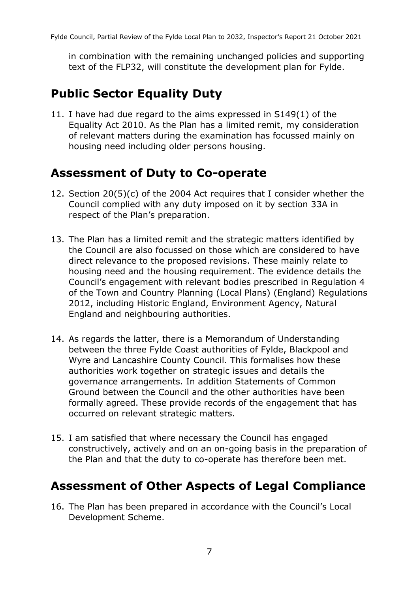in combination with the remaining unchanged policies and supporting text of the FLP32, will constitute the development plan for Fylde.

# **Public Sector Equality Duty**

11. I have had due regard to the aims expressed in S149(1) of the Equality Act 2010. As the Plan has a limited remit, my consideration of relevant matters during the examination has focussed mainly on housing need including older persons housing.

## **Assessment of Duty to Co-operate**

- 12. Section 20(5)(c) of the 2004 Act requires that I consider whether the Council complied with any duty imposed on it by section 33A in respect of the Plan's preparation.
- 13. The Plan has a limited remit and the strategic matters identified by the Council are also focussed on those which are considered to have direct relevance to the proposed revisions. These mainly relate to housing need and the housing requirement. The evidence details the Council's engagement with relevant bodies prescribed in Regulation 4 of the Town and Country Planning (Local Plans) (England) Regulations 2012, including Historic England, Environment Agency, Natural England and neighbouring authorities.
- 14. As regards the latter, there is a Memorandum of Understanding between the three Fylde Coast authorities of Fylde, Blackpool and Wyre and Lancashire County Council. This formalises how these authorities work together on strategic issues and details the governance arrangements. In addition Statements of Common Ground between the Council and the other authorities have been formally agreed. These provide records of the engagement that has occurred on relevant strategic matters.
- 15. I am satisfied that where necessary the Council has engaged constructively, actively and on an on-going basis in the preparation of the Plan and that the duty to co-operate has therefore been met.

### **Assessment of Other Aspects of Legal Compliance**

16. The Plan has been prepared in accordance with the Council's Local Development Scheme.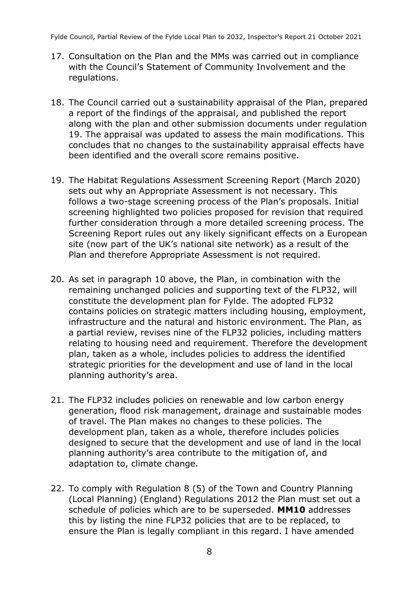- 17. Consultation on the Plan and the MMs was carried out in compliance with the Council's Statement of Community Involvement and the regulations.
- 18. The Council carried out a sustainability appraisal of the Plan, prepared a report of the findings of the appraisal, and published the report along with the plan and other submission documents under regulation 19. The appraisal was updated to assess the main modifications. This concludes that no changes to the sustainability appraisal effects have been identified and the overall score remains positive.
- 19. The Habitat Regulations Assessment Screening Report (March 2020) sets out why an Appropriate Assessment is not necessary. This follows a two-stage screening process of the Plan's proposals. Initial screening highlighted two policies proposed for revision that required further consideration through a more detailed screening process. The Screening Report rules out any likely significant effects on a European site (now part of the UK's national site network) as a result of the Plan and therefore Appropriate Assessment is not required.
- 20. As set in paragraph 10 above, the Plan, in combination with the remaining unchanged policies and supporting text of the FLP32, will constitute the development plan for Fylde. The adopted FLP32 contains policies on strategic matters including housing, employment, infrastructure and the natural and historic environment. The Plan, as a partial review, revises nine of the FLP32 policies, including matters relating to housing need and requirement. Therefore the development plan, taken as a whole, includes policies to address the identified strategic priorities for the development and use of land in the local planning authority's area.
- 21. The FLP32 includes policies on renewable and low carbon energy generation, flood risk management, drainage and sustainable modes of travel. The Plan makes no changes to these policies. The development plan, taken as a whole, therefore includes policies designed to secure that the development and use of land in the local planning authority's area contribute to the mitigation of, and adaptation to, climate change.
- 22. To comply with Regulation 8 (5) of the Town and Country Planning (Local Planning) (England) Regulations 2012 the Plan must set out a schedule of policies which are to be superseded. **MM10** addresses this by listing the nine FLP32 policies that are to be replaced, to ensure the Plan is legally compliant in this regard. I have amended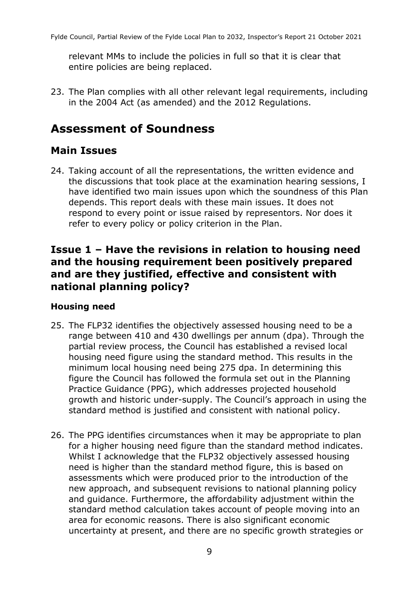relevant MMs to include the policies in full so that it is clear that entire policies are being replaced.

23. The Plan complies with all other relevant legal requirements, including in the 2004 Act (as amended) and the 2012 Regulations.

### **Assessment of Soundness**

### **Main Issues**

24. Taking account of all the representations, the written evidence and the discussions that took place at the examination hearing sessions, I have identified two main issues upon which the soundness of this Plan depends. This report deals with these main issues. It does not respond to every point or issue raised by representors. Nor does it refer to every policy or policy criterion in the Plan.

### **Issue 1 – Have the revisions in relation to housing need and the housing requirement been positively prepared and are they justified, effective and consistent with national planning policy?**

#### **Housing need**

- 25. The FLP32 identifies the objectively assessed housing need to be a range between 410 and 430 dwellings per annum (dpa). Through the partial review process, the Council has established a revised local housing need figure using the standard method. This results in the minimum local housing need being 275 dpa. In determining this figure the Council has followed the formula set out in the Planning Practice Guidance (PPG), which addresses projected household growth and historic under-supply. The Council's approach in using the standard method is justified and consistent with national policy.
- 26. The PPG identifies circumstances when it may be appropriate to plan for a higher housing need figure than the standard method indicates. Whilst I acknowledge that the FLP32 objectively assessed housing need is higher than the standard method figure, this is based on assessments which were produced prior to the introduction of the new approach, and subsequent revisions to national planning policy and guidance. Furthermore, the affordability adjustment within the standard method calculation takes account of people moving into an area for economic reasons. There is also significant economic uncertainty at present, and there are no specific growth strategies or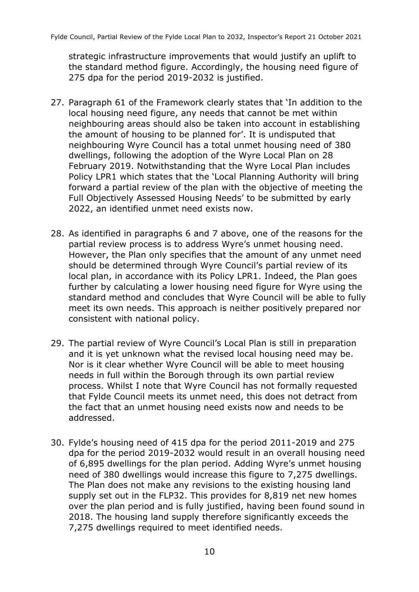strategic infrastructure improvements that would justify an uplift to the standard method figure. Accordingly, the housing need figure of 275 dpa for the period 2019-2032 is justified.

- 27. Paragraph 61 of the Framework clearly states that 'In addition to the local housing need figure, any needs that cannot be met within neighbouring areas should also be taken into account in establishing the amount of housing to be planned for'. It is undisputed that neighbouring Wyre Council has a total unmet housing need of 380 dwellings, following the adoption of the Wyre Local Plan on 28 February 2019. Notwithstanding that the Wyre Local Plan includes Policy LPR1 which states that the 'Local Planning Authority will bring forward a partial review of the plan with the objective of meeting the Full Objectively Assessed Housing Needs' to be submitted by early 2022, an identified unmet need exists now.
- 28. As identified in paragraphs 6 and 7 above, one of the reasons for the partial review process is to address Wyre's unmet housing need. However, the Plan only specifies that the amount of any unmet need should be determined through Wyre Council's partial review of its local plan, in accordance with its Policy LPR1. Indeed, the Plan goes further by calculating a lower housing need figure for Wyre using the standard method and concludes that Wyre Council will be able to fully meet its own needs. This approach is neither positively prepared nor consistent with national policy.
- 29. The partial review of Wyre Council's Local Plan is still in preparation and it is yet unknown what the revised local housing need may be. Nor is it clear whether Wyre Council will be able to meet housing needs in full within the Borough through its own partial review process. Whilst I note that Wyre Council has not formally requested that Fylde Council meets its unmet need, this does not detract from the fact that an unmet housing need exists now and needs to be addressed.
- 30. Fylde's housing need of 415 dpa for the period 2011-2019 and 275 dpa for the period 2019-2032 would result in an overall housing need of 6,895 dwellings for the plan period. Adding Wyre's unmet housing need of 380 dwellings would increase this figure to 7,275 dwellings. The Plan does not make any revisions to the existing housing land supply set out in the FLP32. This provides for 8,819 net new homes over the plan period and is fully justified, having been found sound in 2018. The housing land supply therefore significantly exceeds the 7,275 dwellings required to meet identified needs.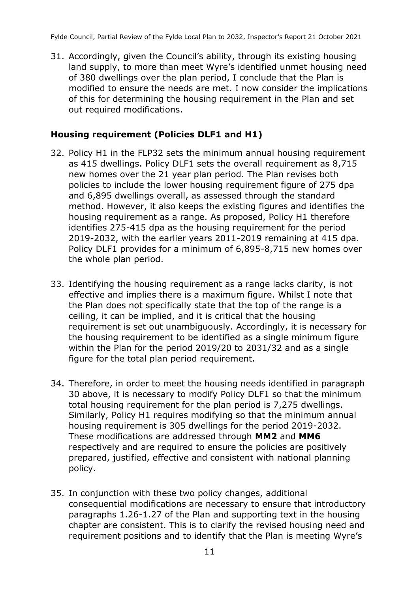31. Accordingly, given the Council's ability, through its existing housing land supply, to more than meet Wyre's identified unmet housing need of 380 dwellings over the plan period, I conclude that the Plan is modified to ensure the needs are met. I now consider the implications of this for determining the housing requirement in the Plan and set out required modifications.

#### **Housing requirement (Policies DLF1 and H1)**

- 32. Policy H1 in the FLP32 sets the minimum annual housing requirement as 415 dwellings. Policy DLF1 sets the overall requirement as 8,715 new homes over the 21 year plan period. The Plan revises both policies to include the lower housing requirement figure of 275 dpa and 6,895 dwellings overall, as assessed through the standard method. However, it also keeps the existing figures and identifies the housing requirement as a range. As proposed, Policy H1 therefore identifies 275-415 dpa as the housing requirement for the period 2019-2032, with the earlier years 2011-2019 remaining at 415 dpa. Policy DLF1 provides for a minimum of 6,895-8,715 new homes over the whole plan period.
- 33. Identifying the housing requirement as a range lacks clarity, is not effective and implies there is a maximum figure. Whilst I note that the Plan does not specifically state that the top of the range is a ceiling, it can be implied, and it is critical that the housing requirement is set out unambiguously. Accordingly, it is necessary for the housing requirement to be identified as a single minimum figure within the Plan for the period 2019/20 to 2031/32 and as a single figure for the total plan period requirement.
- 34. Therefore, in order to meet the housing needs identified in paragraph 30 above, it is necessary to modify Policy DLF1 so that the minimum total housing requirement for the plan period is 7,275 dwellings. Similarly, Policy H1 requires modifying so that the minimum annual housing requirement is 305 dwellings for the period 2019-2032. These modifications are addressed through **MM2** and **MM6** respectively and are required to ensure the policies are positively prepared, justified, effective and consistent with national planning policy.
- 35. In conjunction with these two policy changes, additional consequential modifications are necessary to ensure that introductory paragraphs 1.26-1.27 of the Plan and supporting text in the housing chapter are consistent. This is to clarify the revised housing need and requirement positions and to identify that the Plan is meeting Wyre's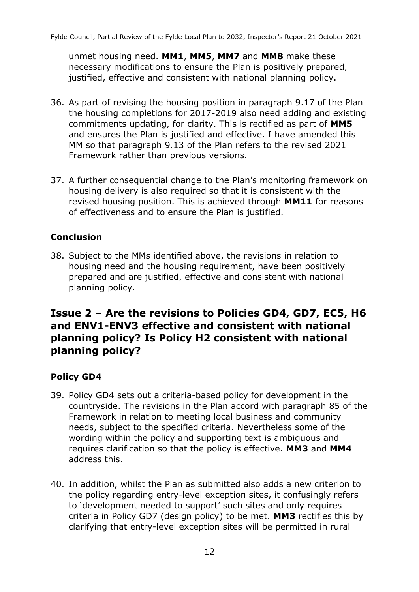unmet housing need. **MM1**, **MM5**, **MM7** and **MM8** make these necessary modifications to ensure the Plan is positively prepared, justified, effective and consistent with national planning policy.

- 36. As part of revising the housing position in paragraph 9.17 of the Plan the housing completions for 2017-2019 also need adding and existing commitments updating, for clarity. This is rectified as part of **MM5**  and ensures the Plan is justified and effective. I have amended this MM so that paragraph 9.13 of the Plan refers to the revised 2021 Framework rather than previous versions.
- 37. A further consequential change to the Plan's monitoring framework on housing delivery is also required so that it is consistent with the revised housing position. This is achieved through **MM11** for reasons of effectiveness and to ensure the Plan is justified.

#### **Conclusion**

38. Subject to the MMs identified above, the revisions in relation to housing need and the housing requirement, have been positively prepared and are justified, effective and consistent with national planning policy.

### **Issue 2 – Are the revisions to Policies GD4, GD7, EC5, H6 and ENV1-ENV3 effective and consistent with national planning policy? Is Policy H2 consistent with national planning policy?**

#### **Policy GD4**

- 39. Policy GD4 sets out a criteria-based policy for development in the countryside. The revisions in the Plan accord with paragraph 85 of the Framework in relation to meeting local business and community needs, subject to the specified criteria. Nevertheless some of the wording within the policy and supporting text is ambiguous and requires clarification so that the policy is effective. **MM3** and **MM4**  address this.
- 40. In addition, whilst the Plan as submitted also adds a new criterion to the policy regarding entry-level exception sites, it confusingly refers to 'development needed to support' such sites and only requires criteria in Policy GD7 (design policy) to be met. **MM3** rectifies this by clarifying that entry-level exception sites will be permitted in rural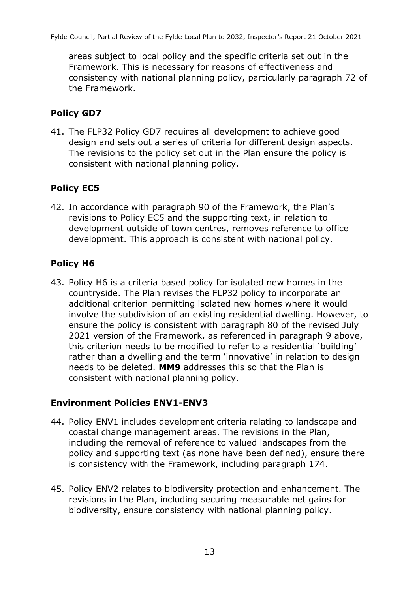areas subject to local policy and the specific criteria set out in the Framework. This is necessary for reasons of effectiveness and consistency with national planning policy, particularly paragraph 72 of the Framework.

#### **Policy GD7**

41. The FLP32 Policy GD7 requires all development to achieve good design and sets out a series of criteria for different design aspects. The revisions to the policy set out in the Plan ensure the policy is consistent with national planning policy.

#### **Policy EC5**

42. In accordance with paragraph 90 of the Framework, the Plan's revisions to Policy EC5 and the supporting text, in relation to development outside of town centres, removes reference to office development. This approach is consistent with national policy.

#### **Policy H6**

43. Policy H6 is a criteria based policy for isolated new homes in the countryside. The Plan revises the FLP32 policy to incorporate an additional criterion permitting isolated new homes where it would involve the subdivision of an existing residential dwelling. However, to ensure the policy is consistent with paragraph 80 of the revised July 2021 version of the Framework, as referenced in paragraph 9 above, this criterion needs to be modified to refer to a residential 'building' rather than a dwelling and the term 'innovative' in relation to design needs to be deleted. **MM9** addresses this so that the Plan is consistent with national planning policy.

#### **Environment Policies ENV1-ENV3**

- 44. Policy ENV1 includes development criteria relating to landscape and coastal change management areas. The revisions in the Plan, including the removal of reference to valued landscapes from the policy and supporting text (as none have been defined), ensure there is consistency with the Framework, including paragraph 174.
- 45. Policy ENV2 relates to biodiversity protection and enhancement. The revisions in the Plan, including securing measurable net gains for biodiversity, ensure consistency with national planning policy.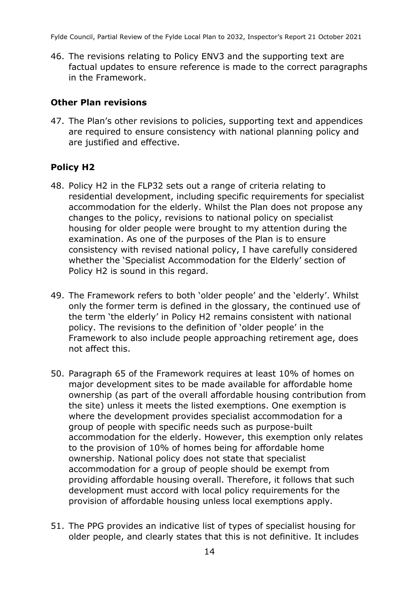46. The revisions relating to Policy ENV3 and the supporting text are factual updates to ensure reference is made to the correct paragraphs in the Framework.

#### **Other Plan revisions**

47. The Plan's other revisions to policies, supporting text and appendices are required to ensure consistency with national planning policy and are justified and effective.

#### **Policy H2**

- 48. Policy H2 in the FLP32 sets out a range of criteria relating to residential development, including specific requirements for specialist accommodation for the elderly. Whilst the Plan does not propose any changes to the policy, revisions to national policy on specialist housing for older people were brought to my attention during the examination. As one of the purposes of the Plan is to ensure consistency with revised national policy, I have carefully considered whether the 'Specialist Accommodation for the Elderly' section of Policy H2 is sound in this regard.
- 49. The Framework refers to both 'older people' and the 'elderly'. Whilst only the former term is defined in the glossary, the continued use of the term 'the elderly' in Policy H2 remains consistent with national policy. The revisions to the definition of 'older people' in the Framework to also include people approaching retirement age, does not affect this.
- 50. Paragraph 65 of the Framework requires at least 10% of homes on major development sites to be made available for affordable home ownership (as part of the overall affordable housing contribution from the site) unless it meets the listed exemptions. One exemption is where the development provides specialist accommodation for a group of people with specific needs such as purpose-built accommodation for the elderly. However, this exemption only relates to the provision of 10% of homes being for affordable home ownership. National policy does not state that specialist accommodation for a group of people should be exempt from providing affordable housing overall. Therefore, it follows that such development must accord with local policy requirements for the provision of affordable housing unless local exemptions apply.
- 51. The PPG provides an indicative list of types of specialist housing for older people, and clearly states that this is not definitive. It includes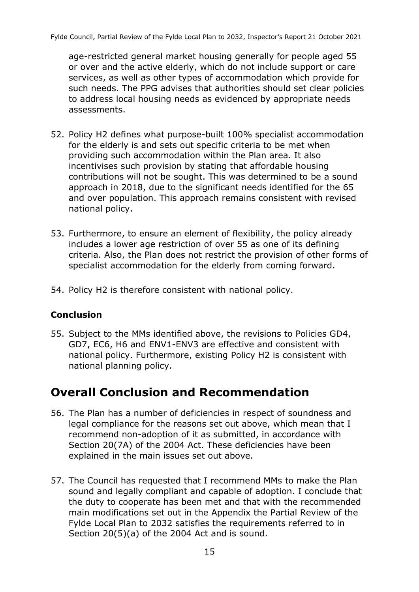age-restricted general market housing generally for people aged 55 or over and the active elderly, which do not include support or care services, as well as other types of accommodation which provide for such needs. The PPG advises that authorities should set clear policies to address local housing needs as evidenced by appropriate needs assessments.

- 52. Policy H2 defines what purpose-built 100% specialist accommodation for the elderly is and sets out specific criteria to be met when providing such accommodation within the Plan area. It also incentivises such provision by stating that affordable housing contributions will not be sought. This was determined to be a sound approach in 2018, due to the significant needs identified for the 65 and over population. This approach remains consistent with revised national policy.
- 53. Furthermore, to ensure an element of flexibility, the policy already includes a lower age restriction of over 55 as one of its defining criteria. Also, the Plan does not restrict the provision of other forms of specialist accommodation for the elderly from coming forward.
- 54. Policy H2 is therefore consistent with national policy.

#### **Conclusion**

55. Subject to the MMs identified above, the revisions to Policies GD4, GD7, EC6, H6 and ENV1-ENV3 are effective and consistent with national policy. Furthermore, existing Policy H2 is consistent with national planning policy.

## **Overall Conclusion and Recommendation**

- 56. The Plan has a number of deficiencies in respect of soundness and legal compliance for the reasons set out above, which mean that I recommend non-adoption of it as submitted, in accordance with Section 20(7A) of the 2004 Act. These deficiencies have been explained in the main issues set out above.
- 57. The Council has requested that I recommend MMs to make the Plan sound and legally compliant and capable of adoption. I conclude that the duty to cooperate has been met and that with the recommended main modifications set out in the Appendix the Partial Review of the Fylde Local Plan to 2032 satisfies the requirements referred to in Section 20(5)(a) of the 2004 Act and is sound.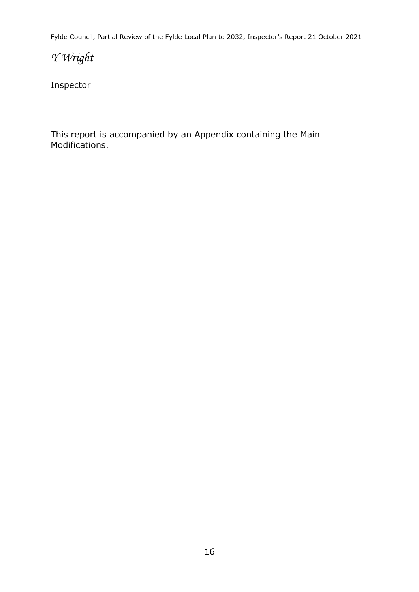*Y Wright*

Inspector

This report is accompanied by an Appendix containing the Main Modifications.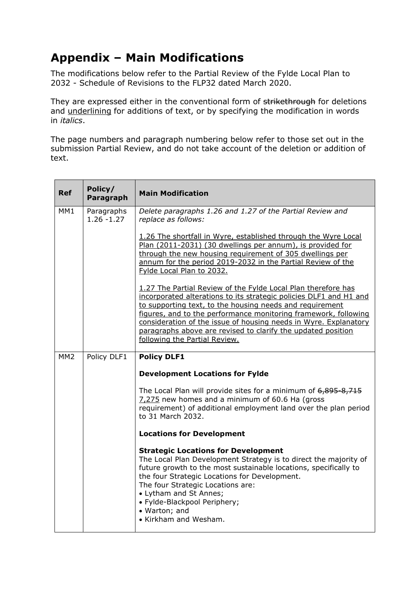# **Appendix – Main Modifications**

The modifications below refer to the Partial Review of the Fylde Local Plan to 2032 - Schedule of Revisions to the FLP32 dated March 2020.

They are expressed either in the conventional form of strikethrough for deletions and underlining for additions of text, or by specifying the modification in words in *italics*.

The page numbers and paragraph numbering below refer to those set out in the submission Partial Review, and do not take account of the deletion or addition of text.

| <b>Ref</b>      | Policy/<br>Paragraph        | <b>Main Modification</b>                                                                                                                                                                                                                                                                                                                                                                                                                |
|-----------------|-----------------------------|-----------------------------------------------------------------------------------------------------------------------------------------------------------------------------------------------------------------------------------------------------------------------------------------------------------------------------------------------------------------------------------------------------------------------------------------|
| MM1             | Paragraphs<br>$1.26 - 1.27$ | Delete paragraphs 1.26 and 1.27 of the Partial Review and<br>replace as follows:                                                                                                                                                                                                                                                                                                                                                        |
|                 |                             | 1.26 The shortfall in Wyre, established through the Wyre Local<br>Plan (2011-2031) (30 dwellings per annum), is provided for<br>through the new housing requirement of 305 dwellings per<br>annum for the period 2019-2032 in the Partial Review of the<br>Fylde Local Plan to 2032.                                                                                                                                                    |
|                 |                             | 1.27 The Partial Review of the Fylde Local Plan therefore has<br>incorporated alterations to its strategic policies DLF1 and H1 and<br>to supporting text, to the housing needs and requirement<br>figures, and to the performance monitoring framework, following<br>consideration of the issue of housing needs in Wyre. Explanatory<br>paragraphs above are revised to clarify the updated position<br>following the Partial Review. |
| MM <sub>2</sub> | Policy DLF1                 | <b>Policy DLF1</b>                                                                                                                                                                                                                                                                                                                                                                                                                      |
|                 |                             | <b>Development Locations for Fylde</b>                                                                                                                                                                                                                                                                                                                                                                                                  |
|                 |                             | The Local Plan will provide sites for a minimum of $6,895-8,715$<br>7,275 new homes and a minimum of 60.6 Ha (gross<br>requirement) of additional employment land over the plan period<br>to 31 March 2032.                                                                                                                                                                                                                             |
|                 |                             | <b>Locations for Development</b>                                                                                                                                                                                                                                                                                                                                                                                                        |
|                 |                             | <b>Strategic Locations for Development</b><br>The Local Plan Development Strategy is to direct the majority of<br>future growth to the most sustainable locations, specifically to<br>the four Strategic Locations for Development.<br>The four Strategic Locations are:<br>• Lytham and St Annes;<br>· Fylde-Blackpool Periphery;<br>• Warton; and<br>• Kirkham and Wesham.                                                            |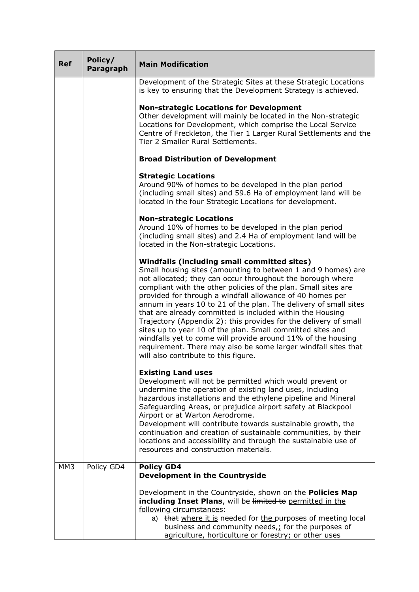| <b>Ref</b> | Policy/<br>Paragraph | <b>Main Modification</b>                                                                                                                                                                                                                                                                                                                                                                                                                                                                                                                                                                                                                                                                                                                              |
|------------|----------------------|-------------------------------------------------------------------------------------------------------------------------------------------------------------------------------------------------------------------------------------------------------------------------------------------------------------------------------------------------------------------------------------------------------------------------------------------------------------------------------------------------------------------------------------------------------------------------------------------------------------------------------------------------------------------------------------------------------------------------------------------------------|
|            |                      | Development of the Strategic Sites at these Strategic Locations<br>is key to ensuring that the Development Strategy is achieved.                                                                                                                                                                                                                                                                                                                                                                                                                                                                                                                                                                                                                      |
|            |                      | <b>Non-strategic Locations for Development</b><br>Other development will mainly be located in the Non-strategic<br>Locations for Development, which comprise the Local Service<br>Centre of Freckleton, the Tier 1 Larger Rural Settlements and the<br>Tier 2 Smaller Rural Settlements.                                                                                                                                                                                                                                                                                                                                                                                                                                                              |
|            |                      | <b>Broad Distribution of Development</b>                                                                                                                                                                                                                                                                                                                                                                                                                                                                                                                                                                                                                                                                                                              |
|            |                      | <b>Strategic Locations</b><br>Around 90% of homes to be developed in the plan period<br>(including small sites) and 59.6 Ha of employment land will be<br>located in the four Strategic Locations for development.                                                                                                                                                                                                                                                                                                                                                                                                                                                                                                                                    |
|            |                      | <b>Non-strategic Locations</b><br>Around 10% of homes to be developed in the plan period<br>(including small sites) and 2.4 Ha of employment land will be<br>located in the Non-strategic Locations.                                                                                                                                                                                                                                                                                                                                                                                                                                                                                                                                                  |
|            |                      | Windfalls (including small committed sites)<br>Small housing sites (amounting to between 1 and 9 homes) are<br>not allocated; they can occur throughout the borough where<br>compliant with the other policies of the plan. Small sites are<br>provided for through a windfall allowance of 40 homes per<br>annum in years 10 to 21 of the plan. The delivery of small sites<br>that are already committed is included within the Housing<br>Trajectory (Appendix 2): this provides for the delivery of small<br>sites up to year 10 of the plan. Small committed sites and<br>windfalls yet to come will provide around 11% of the housing<br>requirement. There may also be some larger windfall sites that<br>will also contribute to this figure. |
|            |                      | <b>Existing Land uses</b><br>Development will not be permitted which would prevent or<br>undermine the operation of existing land uses, including<br>hazardous installations and the ethylene pipeline and Mineral<br>Safeguarding Areas, or prejudice airport safety at Blackpool<br>Airport or at Warton Aerodrome.<br>Development will contribute towards sustainable growth, the<br>continuation and creation of sustainable communities, by their<br>locations and accessibility and through the sustainable use of<br>resources and construction materials.                                                                                                                                                                                     |
| MM3        | Policy GD4           | <b>Policy GD4</b><br><b>Development in the Countryside</b>                                                                                                                                                                                                                                                                                                                                                                                                                                                                                                                                                                                                                                                                                            |
|            |                      | Development in the Countryside, shown on the <b>Policies Map</b><br>including Inset Plans, will be limited to permitted in the<br>following circumstances:<br>a) that where it is needed for the purposes of meeting local<br>business and community needs <sub>7</sub> ; for the purposes of<br>agriculture, horticulture or forestry; or other uses                                                                                                                                                                                                                                                                                                                                                                                                 |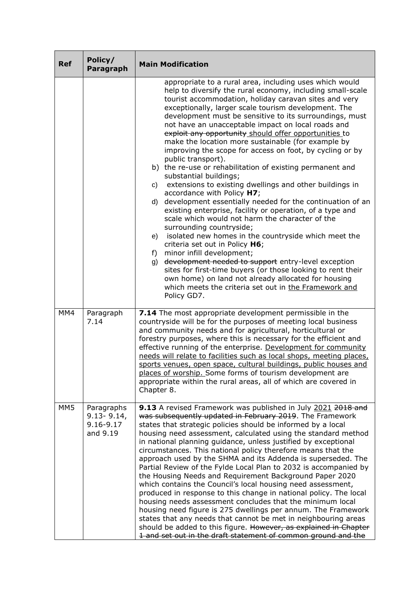| <b>Ref</b>      | Policy/<br>Paragraph                                       | <b>Main Modification</b>                                                                                                                                                                                                                                                                                                                                                                                                                                                                                                                                                                                                                                                                                                                                                                                                                                                                                                                                                                                                                                                                                                                                                                                                                                                                                                                                    |
|-----------------|------------------------------------------------------------|-------------------------------------------------------------------------------------------------------------------------------------------------------------------------------------------------------------------------------------------------------------------------------------------------------------------------------------------------------------------------------------------------------------------------------------------------------------------------------------------------------------------------------------------------------------------------------------------------------------------------------------------------------------------------------------------------------------------------------------------------------------------------------------------------------------------------------------------------------------------------------------------------------------------------------------------------------------------------------------------------------------------------------------------------------------------------------------------------------------------------------------------------------------------------------------------------------------------------------------------------------------------------------------------------------------------------------------------------------------|
|                 |                                                            | appropriate to a rural area, including uses which would<br>help to diversify the rural economy, including small-scale<br>tourist accommodation, holiday caravan sites and very<br>exceptionally, larger scale tourism development. The<br>development must be sensitive to its surroundings, must<br>not have an unacceptable impact on local roads and<br>exploit any opportunity should offer opportunities to<br>make the location more sustainable (for example by<br>improving the scope for access on foot, by cycling or by<br>public transport).<br>b) the re-use or rehabilitation of existing permanent and<br>substantial buildings;<br>extensions to existing dwellings and other buildings in<br>C)<br>accordance with Policy H7;<br>development essentially needed for the continuation of an<br>d)<br>existing enterprise, facility or operation, of a type and<br>scale which would not harm the character of the<br>surrounding countryside;<br>isolated new homes in the countryside which meet the<br>e)<br>criteria set out in Policy H6;<br>minor infill development;<br>f)<br>development needed to support entry-level exception<br>g)<br>sites for first-time buyers (or those looking to rent their<br>own home) on land not already allocated for housing<br>which meets the criteria set out in the Framework and<br>Policy GD7. |
| MM4             | Paragraph<br>7.14                                          | 7.14 The most appropriate development permissible in the<br>countryside will be for the purposes of meeting local business<br>and community needs and for agricultural, horticultural or<br>forestry purposes, where this is necessary for the efficient and<br>effective running of the enterprise. Development for community<br>needs will relate to facilities such as local shops, meeting places,<br>sports venues, open space, cultural buildings, public houses and<br>places of worship. Some forms of tourism development are<br>appropriate within the rural areas, all of which are covered in<br>Chapter 8.                                                                                                                                                                                                                                                                                                                                                                                                                                                                                                                                                                                                                                                                                                                                     |
| MM <sub>5</sub> | Paragraphs<br>$9.13 - 9.14$ ,<br>$9.16 - 9.17$<br>and 9.19 | 9.13 A revised Framework was published in July 2021 2018 and<br>was subsequently updated in February 2019. The Framework<br>states that strategic policies should be informed by a local<br>housing need assessment, calculated using the standard method<br>in national planning guidance, unless justified by exceptional<br>circumstances. This national policy therefore means that the<br>approach used by the SHMA and its Addenda is superseded. The<br>Partial Review of the Fylde Local Plan to 2032 is accompanied by<br>the Housing Needs and Requirement Background Paper 2020<br>which contains the Council's local housing need assessment,<br>produced in response to this change in national policy. The local<br>housing needs assessment concludes that the minimum local<br>housing need figure is 275 dwellings per annum. The Framework<br>states that any needs that cannot be met in neighbouring areas<br>should be added to this figure. However, as explained in Chapter<br>1 and set out in the draft statement of common ground and the                                                                                                                                                                                                                                                                                         |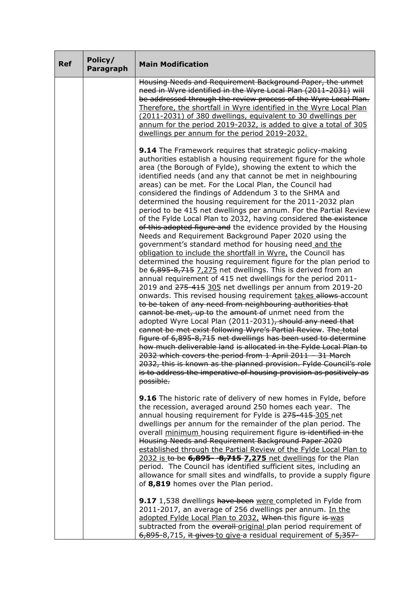| <b>Ref</b> | Policy/<br><b>Paragraph</b> | <b>Main Modification</b>                                                                                                                                                                                                                                                                                                                                                                                                                                                                                                                                                                                                                                                                                                                                                                                                                                                                                                                                                                                                                                                                                                                                                                                                                                                                                                                                                                                                                                                                                                                                                                                                                                                                                                                                                                               |
|------------|-----------------------------|--------------------------------------------------------------------------------------------------------------------------------------------------------------------------------------------------------------------------------------------------------------------------------------------------------------------------------------------------------------------------------------------------------------------------------------------------------------------------------------------------------------------------------------------------------------------------------------------------------------------------------------------------------------------------------------------------------------------------------------------------------------------------------------------------------------------------------------------------------------------------------------------------------------------------------------------------------------------------------------------------------------------------------------------------------------------------------------------------------------------------------------------------------------------------------------------------------------------------------------------------------------------------------------------------------------------------------------------------------------------------------------------------------------------------------------------------------------------------------------------------------------------------------------------------------------------------------------------------------------------------------------------------------------------------------------------------------------------------------------------------------------------------------------------------------|
|            |                             | Housing Needs and Requirement Background Paper, the unmet<br>need in Wyre identified in the Wyre Local Plan (2011-2031) will<br>be addressed through the review process of the Wyre Local Plan.<br>Therefore, the shortfall in Wyre identified in the Wyre Local Plan<br>(2011-2031) of 380 dwellings, equivalent to 30 dwellings per<br>annum for the period 2019-2032, is added to give a total of 305<br>dwellings per annum for the period 2019-2032.                                                                                                                                                                                                                                                                                                                                                                                                                                                                                                                                                                                                                                                                                                                                                                                                                                                                                                                                                                                                                                                                                                                                                                                                                                                                                                                                              |
|            |                             | <b>9.14</b> The Framework requires that strategic policy-making<br>authorities establish a housing requirement figure for the whole<br>area (the Borough of Fylde), showing the extent to which the<br>identified needs (and any that cannot be met in neighbouring<br>areas) can be met. For the Local Plan, the Council had<br>considered the findings of Addendum 3 to the SHMA and<br>determined the housing requirement for the 2011-2032 plan<br>period to be 415 net dwellings per annum. For the Partial Review<br>of the Fylde Local Plan to 2032, having considered the existence<br>of this adopted figure and the evidence provided by the Housing<br>Needs and Requirement Background Paper 2020 using the<br>government's standard method for housing need and the<br>obligation to include the shortfall in Wyre, the Council has<br>determined the housing requirement figure for the plan period to<br>be 6,895-8,715 7,275 net dwellings. This is derived from an<br>annual requirement of 415 net dwellings for the period 2011-<br>2019 and 275-415 305 net dwellings per annum from 2019-20<br>onwards. This revised housing requirement takes allows account<br>to be taken of any need from neighbouring authorities that<br>cannot be met, up to the amount of unmet need from the<br>adopted Wyre Local Plan (2011-2031), should any need that<br>cannot be met exist following Wyre's Partial Review. The total<br>figure of 6,895-8,715 net dwellings has been used to determine<br>how much deliverable land is allocated in the Fylde Local Plan to<br>2032 which covers the period from 1 April 2011 - 31 March<br>2032, this is known as the planned provision. Fylde Council's role<br>is to address the imperative of housing provision as positively as<br>possible. |
|            |                             | 9.16 The historic rate of delivery of new homes in Fylde, before<br>the recession, averaged around 250 homes each year. The<br>annual housing requirement for Fylde is 275-415-305 net<br>dwellings per annum for the remainder of the plan period. The<br>overall minimum housing requirement figure is identified in the<br>Housing Needs and Requirement Background Paper 2020<br>established through the Partial Review of the Fylde Local Plan to<br>2032 is to be 6,895- 8,715 7,275 net dwellings for the Plan<br>period. The Council has identified sufficient sites, including an<br>allowance for small sites and windfalls, to provide a supply figure<br>of 8,819 homes over the Plan period.                                                                                                                                                                                                                                                                                                                                                                                                                                                                                                                                                                                                                                                                                                                                                                                                                                                                                                                                                                                                                                                                                              |
|            |                             | 9.17 1,538 dwellings have been were completed in Fylde from<br>2011-2017, an average of 256 dwellings per annum. In the<br>adopted Fylde Local Plan to 2032, When this figure is was<br>subtracted from the everall original plan period requirement of<br>6,895-8,715, it gives to give-a residual requirement of 5,357-                                                                                                                                                                                                                                                                                                                                                                                                                                                                                                                                                                                                                                                                                                                                                                                                                                                                                                                                                                                                                                                                                                                                                                                                                                                                                                                                                                                                                                                                              |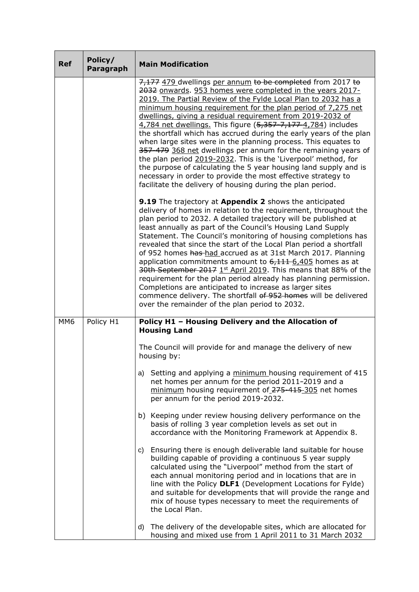| <b>Ref</b>      | Policy/<br>Paragraph | <b>Main Modification</b>                                                                                                                                                                                                                                                                                                                                                                                                                                                                                                                                                                                                                                                                                                                                                                                                                                               |
|-----------------|----------------------|------------------------------------------------------------------------------------------------------------------------------------------------------------------------------------------------------------------------------------------------------------------------------------------------------------------------------------------------------------------------------------------------------------------------------------------------------------------------------------------------------------------------------------------------------------------------------------------------------------------------------------------------------------------------------------------------------------------------------------------------------------------------------------------------------------------------------------------------------------------------|
|                 |                      | 7,177 479 dwellings per annum to be completed from 2017 to<br>2032 onwards. 953 homes were completed in the years 2017-<br>2019. The Partial Review of the Fylde Local Plan to 2032 has a<br>minimum housing requirement for the plan period of 7,275 net<br>dwellings, giving a residual requirement from 2019-2032 of<br>4,784 net dwellings. This figure (5,357-7,177-4,784) includes<br>the shortfall which has accrued during the early years of the plan<br>when large sites were in the planning process. This equates to<br>357-479 368 net dwellings per annum for the remaining years of<br>the plan period 2019-2032. This is the 'Liverpool' method, for<br>the purpose of calculating the 5 year housing land supply and is<br>necessary in order to provide the most effective strategy to<br>facilitate the delivery of housing during the plan period. |
|                 |                      | 9.19 The trajectory at Appendix 2 shows the anticipated<br>delivery of homes in relation to the requirement, throughout the<br>plan period to 2032. A detailed trajectory will be published at<br>least annually as part of the Council's Housing Land Supply<br>Statement. The Council's monitoring of housing completions has<br>revealed that since the start of the Local Plan period a shortfall<br>of 952 homes has had accrued as at 31st March 2017. Planning<br>application commitments amount to 6,111-6,405 homes as at<br>30th September 2017 1st April 2019. This means that 88% of the<br>requirement for the plan period already has planning permission.<br>Completions are anticipated to increase as larger sites<br>commence delivery. The shortfall of 952 homes will be delivered<br>over the remainder of the plan period to 2032.               |
| MM <sub>6</sub> | Policy H1            | Policy H1 - Housing Delivery and the Allocation of<br><b>Housing Land</b>                                                                                                                                                                                                                                                                                                                                                                                                                                                                                                                                                                                                                                                                                                                                                                                              |
|                 |                      | The Council will provide for and manage the delivery of new<br>housing by:                                                                                                                                                                                                                                                                                                                                                                                                                                                                                                                                                                                                                                                                                                                                                                                             |
|                 |                      | Setting and applying a minimum housing requirement of 415<br>a)<br>net homes per annum for the period 2011-2019 and a<br>minimum housing requirement of 275-415-305 net homes<br>per annum for the period 2019-2032.                                                                                                                                                                                                                                                                                                                                                                                                                                                                                                                                                                                                                                                   |
|                 |                      | b) Keeping under review housing delivery performance on the<br>basis of rolling 3 year completion levels as set out in<br>accordance with the Monitoring Framework at Appendix 8.                                                                                                                                                                                                                                                                                                                                                                                                                                                                                                                                                                                                                                                                                      |
|                 |                      | Ensuring there is enough deliverable land suitable for house<br>c)<br>building capable of providing a continuous 5 year supply<br>calculated using the "Liverpool" method from the start of<br>each annual monitoring period and in locations that are in<br>line with the Policy DLF1 (Development Locations for Fylde)<br>and suitable for developments that will provide the range and<br>mix of house types necessary to meet the requirements of<br>the Local Plan.                                                                                                                                                                                                                                                                                                                                                                                               |
|                 |                      | The delivery of the developable sites, which are allocated for<br>d)<br>housing and mixed use from 1 April 2011 to 31 March 2032                                                                                                                                                                                                                                                                                                                                                                                                                                                                                                                                                                                                                                                                                                                                       |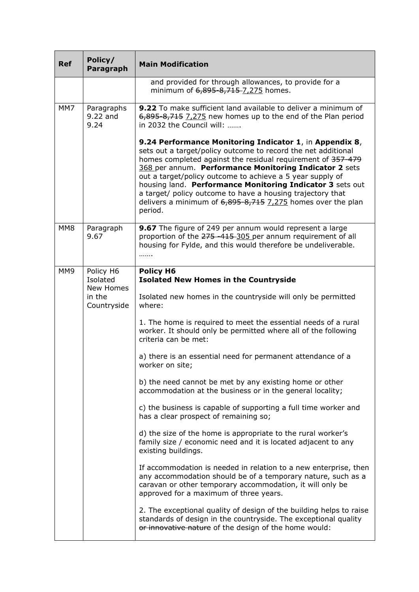| <b>Ref</b> | Policy/<br><b>Paragraph</b>                                 | <b>Main Modification</b>                                                                                                                                                                                                                                                                                                                                                                                                                                                                                                |
|------------|-------------------------------------------------------------|-------------------------------------------------------------------------------------------------------------------------------------------------------------------------------------------------------------------------------------------------------------------------------------------------------------------------------------------------------------------------------------------------------------------------------------------------------------------------------------------------------------------------|
|            |                                                             | and provided for through allowances, to provide for a<br>minimum of 6,895-8,715-7,275 homes.                                                                                                                                                                                                                                                                                                                                                                                                                            |
| MM7        | Paragraphs<br>9.22 and<br>9.24                              | 9.22 To make sufficient land available to deliver a minimum of<br>$6,895-8,715$ $7,275$ new homes up to the end of the Plan period<br>in 2032 the Council will:                                                                                                                                                                                                                                                                                                                                                         |
|            |                                                             | 9.24 Performance Monitoring Indicator 1, in Appendix 8,<br>sets out a target/policy outcome to record the net additional<br>homes completed against the residual requirement of 357-479<br>368 per annum. Performance Monitoring Indicator 2 sets<br>out a target/policy outcome to achieve a 5 year supply of<br>housing land. Performance Monitoring Indicator 3 sets out<br>a target/ policy outcome to have a housing trajectory that<br>delivers a minimum of $6,895-8,715$ $7,275$ homes over the plan<br>period. |
| MM8        | Paragraph<br>9.67                                           | 9.67 The figure of 249 per annum would represent a large<br>proportion of the 275 -415-305 per annum requirement of all<br>housing for Fylde, and this would therefore be undeliverable.<br>.                                                                                                                                                                                                                                                                                                                           |
| MM9        | Policy H6<br>Isolated<br>New Homes<br>in the<br>Countryside | Policy H6<br><b>Isolated New Homes in the Countryside</b>                                                                                                                                                                                                                                                                                                                                                                                                                                                               |
|            |                                                             | Isolated new homes in the countryside will only be permitted<br>where:                                                                                                                                                                                                                                                                                                                                                                                                                                                  |
|            |                                                             | 1. The home is required to meet the essential needs of a rural<br>worker. It should only be permitted where all of the following<br>criteria can be met:                                                                                                                                                                                                                                                                                                                                                                |
|            |                                                             | a) there is an essential need for permanent attendance of a<br>worker on site;                                                                                                                                                                                                                                                                                                                                                                                                                                          |
|            |                                                             | b) the need cannot be met by any existing home or other<br>accommodation at the business or in the general locality;                                                                                                                                                                                                                                                                                                                                                                                                    |
|            |                                                             | c) the business is capable of supporting a full time worker and<br>has a clear prospect of remaining so;                                                                                                                                                                                                                                                                                                                                                                                                                |
|            |                                                             | d) the size of the home is appropriate to the rural worker's<br>family size / economic need and it is located adjacent to any<br>existing buildings.                                                                                                                                                                                                                                                                                                                                                                    |
|            |                                                             | If accommodation is needed in relation to a new enterprise, then<br>any accommodation should be of a temporary nature, such as a<br>caravan or other temporary accommodation, it will only be<br>approved for a maximum of three years.                                                                                                                                                                                                                                                                                 |
|            |                                                             | 2. The exceptional quality of design of the building helps to raise<br>standards of design in the countryside. The exceptional quality<br>or innovative nature of the design of the home would:                                                                                                                                                                                                                                                                                                                         |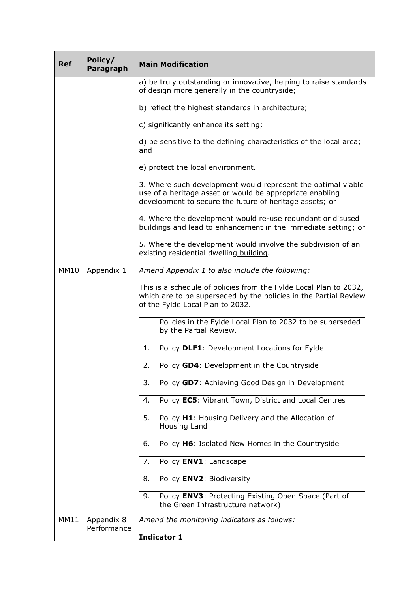| <b>Ref</b>  | Policy/<br>Paragraph      | <b>Main Modification</b>                                                                                                                                                            |
|-------------|---------------------------|-------------------------------------------------------------------------------------------------------------------------------------------------------------------------------------|
|             |                           | a) be truly outstanding or innovative, helping to raise standards<br>of design more generally in the countryside;                                                                   |
|             |                           | b) reflect the highest standards in architecture;                                                                                                                                   |
|             |                           | c) significantly enhance its setting;                                                                                                                                               |
|             |                           | d) be sensitive to the defining characteristics of the local area;<br>and                                                                                                           |
|             |                           | e) protect the local environment.                                                                                                                                                   |
|             |                           | 3. Where such development would represent the optimal viable<br>use of a heritage asset or would be appropriate enabling<br>development to secure the future of heritage assets; or |
|             |                           | 4. Where the development would re-use redundant or disused<br>buildings and lead to enhancement in the immediate setting; or                                                        |
|             |                           | 5. Where the development would involve the subdivision of an<br>existing residential dwelling building.                                                                             |
| <b>MM10</b> | Appendix 1                | Amend Appendix 1 to also include the following:                                                                                                                                     |
|             |                           | This is a schedule of policies from the Fylde Local Plan to 2032,<br>which are to be superseded by the policies in the Partial Review<br>of the Fylde Local Plan to 2032.           |
|             |                           | Policies in the Fylde Local Plan to 2032 to be superseded<br>by the Partial Review.                                                                                                 |
|             |                           | Policy DLF1: Development Locations for Fylde<br>1.                                                                                                                                  |
|             |                           | 2.<br>Policy GD4: Development in the Countryside                                                                                                                                    |
|             |                           | Policy GD7: Achieving Good Design in Development<br>3.                                                                                                                              |
|             |                           | Policy EC5: Vibrant Town, District and Local Centres<br>4.                                                                                                                          |
|             |                           | 5.<br>Policy H1: Housing Delivery and the Allocation of<br>Housing Land                                                                                                             |
|             |                           | Policy H6: Isolated New Homes in the Countryside<br>6.                                                                                                                              |
|             |                           | Policy ENV1: Landscape<br>7.                                                                                                                                                        |
|             |                           | Policy ENV2: Biodiversity<br>8.                                                                                                                                                     |
|             |                           | Policy ENV3: Protecting Existing Open Space (Part of<br>9.<br>the Green Infrastructure network)                                                                                     |
| MM11        | Appendix 8<br>Performance | Amend the monitoring indicators as follows:                                                                                                                                         |
|             |                           | Indicator 1                                                                                                                                                                         |